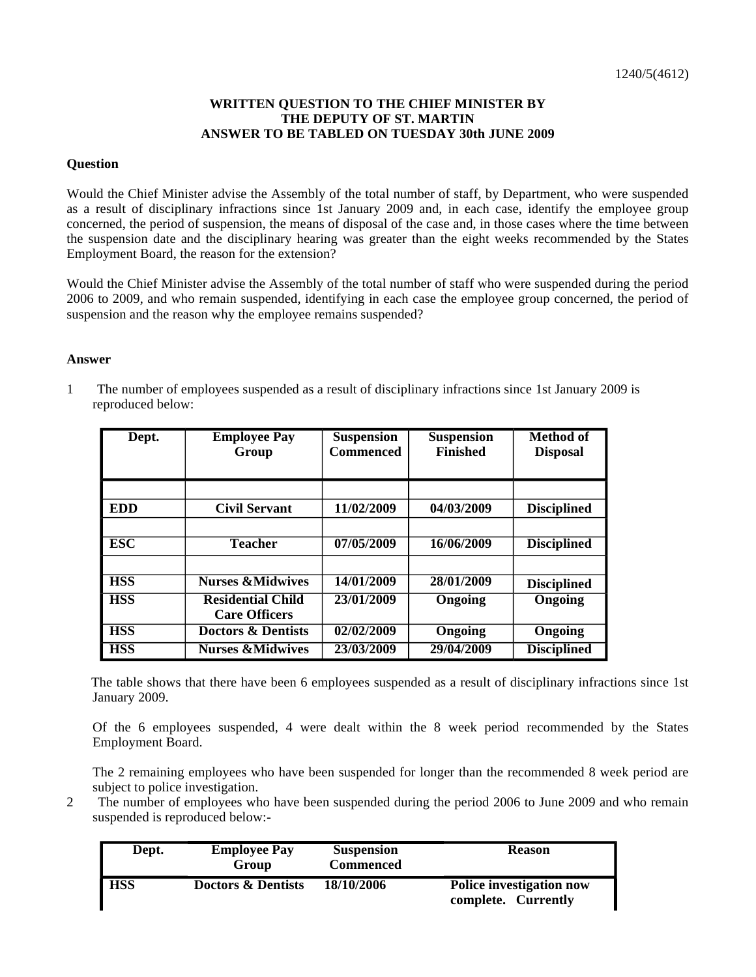## **WRITTEN QUESTION TO THE CHIEF MINISTER BY THE DEPUTY OF ST. MARTIN ANSWER TO BE TABLED ON TUESDAY 30th JUNE 2009**

## **Question**

Would the Chief Minister advise the Assembly of the total number of staff, by Department, who were suspended as a result of disciplinary infractions since 1st January 2009 and, in each case, identify the employee group concerned, the period of suspension, the means of disposal of the case and, in those cases where the time between the suspension date and the disciplinary hearing was greater than the eight weeks recommended by the States Employment Board, the reason for the extension?

Would the Chief Minister advise the Assembly of the total number of staff who were suspended during the period 2006 to 2009, and who remain suspended, identifying in each case the employee group concerned, the period of suspension and the reason why the employee remains suspended?

## **Answer**

1 The number of employees suspended as a result of disciplinary infractions since 1st January 2009 is reproduced below:

| Dept.      | <b>Employee Pay</b><br>Group  | <b>Suspension</b><br>Commenced | <b>Suspension</b><br><b>Finished</b> | <b>Method of</b><br><b>Disposal</b> |
|------------|-------------------------------|--------------------------------|--------------------------------------|-------------------------------------|
|            |                               |                                |                                      |                                     |
| <b>EDD</b> | <b>Civil Servant</b>          | 11/02/2009                     | 04/03/2009                           | <b>Disciplined</b>                  |
|            |                               |                                |                                      |                                     |
| <b>ESC</b> | <b>Teacher</b>                | 07/05/2009                     | 16/06/2009                           | <b>Disciplined</b>                  |
|            |                               |                                |                                      |                                     |
| <b>HSS</b> | <b>Nurses &amp;Midwives</b>   | 14/01/2009                     | 28/01/2009                           | <b>Disciplined</b>                  |
| <b>HSS</b> | <b>Residential Child</b>      | 23/01/2009                     | Ongoing                              | <b>Ongoing</b>                      |
|            | <b>Care Officers</b>          |                                |                                      |                                     |
| <b>HSS</b> | <b>Doctors &amp; Dentists</b> | 02/02/2009                     | <b>Ongoing</b>                       | <b>Ongoing</b>                      |
| <b>HSS</b> | <b>Nurses &amp;Midwives</b>   | 23/03/2009                     | 29/04/2009                           | <b>Disciplined</b>                  |

 The table shows that there have been 6 employees suspended as a result of disciplinary infractions since 1st January 2009.

Of the 6 employees suspended, 4 were dealt within the 8 week period recommended by the States Employment Board.

The 2 remaining employees who have been suspended for longer than the recommended 8 week period are subject to police investigation.

2 The number of employees who have been suspended during the period 2006 to June 2009 and who remain suspended is reproduced below:-

| Dept.      | <b>Employee Pay</b><br>Group  | <b>Suspension</b><br>Commenced | <b>Reason</b>                                          |
|------------|-------------------------------|--------------------------------|--------------------------------------------------------|
| <b>HSS</b> | <b>Doctors &amp; Dentists</b> | 18/10/2006                     | <b>Police investigation now</b><br>complete. Currently |